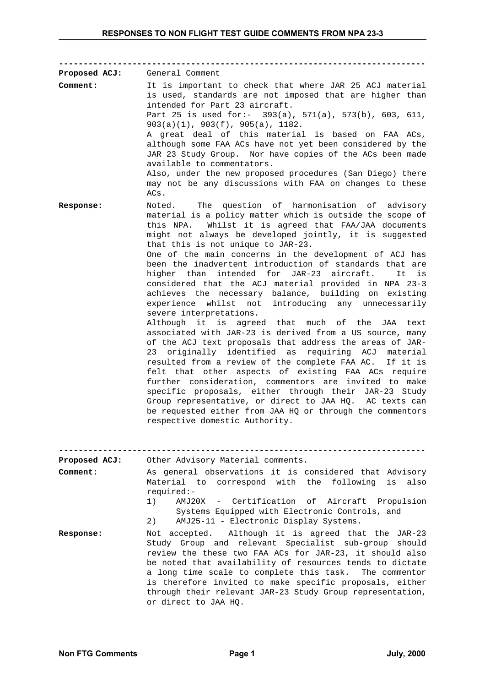| <b>Proposed ACJ:</b> | General Comment                                                                                                                                                                                                                                                                                                                                                                                                                                                                                                                                                                                                                                                                                                                                                                                                                                                                                                                                                                                                                                                                                                                                                                                                                                                                                            |
|----------------------|------------------------------------------------------------------------------------------------------------------------------------------------------------------------------------------------------------------------------------------------------------------------------------------------------------------------------------------------------------------------------------------------------------------------------------------------------------------------------------------------------------------------------------------------------------------------------------------------------------------------------------------------------------------------------------------------------------------------------------------------------------------------------------------------------------------------------------------------------------------------------------------------------------------------------------------------------------------------------------------------------------------------------------------------------------------------------------------------------------------------------------------------------------------------------------------------------------------------------------------------------------------------------------------------------------|
| Comment:             | It is important to check that where JAR 25 ACJ material<br>is used, standards are not imposed that are higher than<br>intended for Part 23 aircraft.<br>Part 25 is used for:- 393(a), 571(a), 573(b), 603, 611,<br>$903(a)(1)$ , $903(f)$ , $905(a)$ , 1182.<br>A great deal of this material is based on FAA ACs,<br>although some FAA ACs have not yet been considered by the<br>JAR 23 Study Group. Nor have copies of the ACs been made<br>available to commentators.<br>Also, under the new proposed procedures (San Diego) there<br>may not be any discussions with FAA on changes to these<br>ACs.                                                                                                                                                                                                                                                                                                                                                                                                                                                                                                                                                                                                                                                                                                  |
| Response:            | The question of harmonisation of advisory<br>Noted.<br>material is a policy matter which is outside the scope of<br>Whilst it is agreed that FAA/JAA documents<br>this NPA.<br>might not always be developed jointly, it is suggested<br>that this is not unique to JAR-23.<br>One of the main concerns in the development of ACJ has<br>been the inadvertent introduction of standards that are<br>higher than<br>intended for JAR-23<br>aircraft.<br>It<br>is<br>considered that the ACJ material provided in NPA 23-3<br>achieves the necessary balance, building on existing<br>whilst not introducing any unnecessarily<br>experience<br>severe interpretations.<br>Although it is agreed that much of the JAA text<br>associated with JAR-23 is derived from a US source, many<br>of the ACJ text proposals that address the areas of JAR-<br>originally<br>identified as requiring ACJ material<br>23<br>resulted from a review of the complete FAA AC. If it is<br>felt that other aspects of existing FAA ACs require<br>further consideration, commentors are invited to make<br>specific proposals, either through their JAR-23 Study<br>Group representative, or direct to JAA HQ. AC texts can<br>be requested either from JAA HQ or through the commentors<br>respective domestic Authority. |
| <b>Proposed ACJ:</b> | Other Advisory Material comments.                                                                                                                                                                                                                                                                                                                                                                                                                                                                                                                                                                                                                                                                                                                                                                                                                                                                                                                                                                                                                                                                                                                                                                                                                                                                          |
| Comment:             | As general observations it is considered that Advisory<br>Material to correspond with the following is also<br>required:-<br>1)<br>AMJ20X - Certification of Aircraft Propulsion<br>Systems Equipped with Electronic Controls, and<br>AMJ25-11 - Electronic Display Systems.<br>2)                                                                                                                                                                                                                                                                                                                                                                                                                                                                                                                                                                                                                                                                                                                                                                                                                                                                                                                                                                                                                         |
| Response:            | Although it is agreed that the JAR-23<br>Not accepted.<br>Study Group and relevant Specialist sub-group should<br>review the these two FAA ACs for JAR-23, it should also<br>be noted that availability of resources tends to dictate<br>a long time scale to complete this task.<br>The commentor<br>is therefore invited to make specific proposals, either<br>through their relevant JAR-23 Study Group representation,<br>or direct to JAA HQ.                                                                                                                                                                                                                                                                                                                                                                                                                                                                                                                                                                                                                                                                                                                                                                                                                                                         |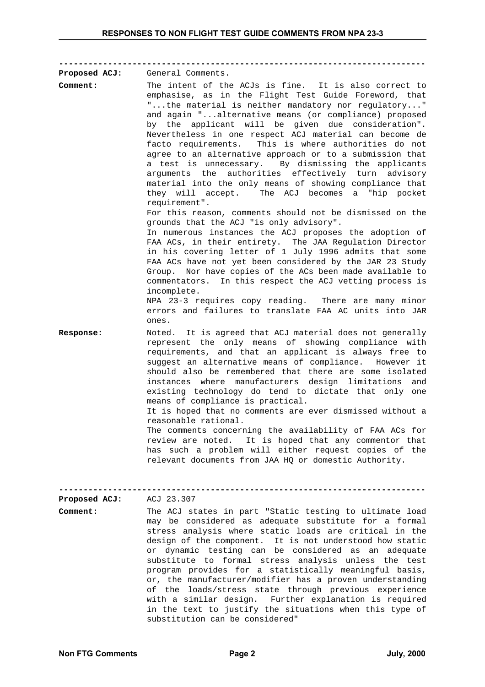| <b>Proposed ACJ:</b>             | General Comments.                                                                                                                                                                                                                                                                                                                                                                                                                                                                                                                                                                                                                                                                                                                                                                                                                                                                                                                                                                                                                                                                                                                                                                                                                                                   |
|----------------------------------|---------------------------------------------------------------------------------------------------------------------------------------------------------------------------------------------------------------------------------------------------------------------------------------------------------------------------------------------------------------------------------------------------------------------------------------------------------------------------------------------------------------------------------------------------------------------------------------------------------------------------------------------------------------------------------------------------------------------------------------------------------------------------------------------------------------------------------------------------------------------------------------------------------------------------------------------------------------------------------------------------------------------------------------------------------------------------------------------------------------------------------------------------------------------------------------------------------------------------------------------------------------------|
| Comment:                         | The intent of the ACJs is fine. It is also correct to<br>emphasise, as in the Flight Test Guide Foreword, that<br>"the material is neither mandatory nor regulatory"<br>and again "alternative means (or compliance) proposed<br>by the applicant will be given due consideration".<br>Nevertheless in one respect ACJ material can become de<br>facto requirements. This is where authorities do not<br>agree to an alternative approach or to a submission that<br>a test is unnecessary. By dismissing the applicants<br>arguments the authorities effectively turn<br>advisory<br>material into the only means of showing compliance that<br>they will accept. The ACJ becomes a "hip pocket<br>requirement".<br>For this reason, comments should not be dismissed on the<br>grounds that the ACJ "is only advisory".<br>In numerous instances the ACJ proposes the adoption of<br>FAA ACs, in their entirety. The JAA Regulation Director<br>in his covering letter of 1 July 1996 admits that some<br>FAA ACs have not yet been considered by the JAR 23 Study<br>Group. Nor have copies of the ACs been made available to<br>commentators. In this respect the ACJ vetting process is<br>incomplete.<br>NPA 23-3 requires copy reading. There are many minor |
| Response:                        | errors and failures to translate FAA AC units into JAR<br>ones.<br>Noted. It is agreed that ACJ material does not generally<br>represent the only means of showing compliance with<br>requirements, and that an applicant is always free to<br>suggest an alternative means of compliance. However it<br>should also be remembered that there are some isolated<br>instances where manufacturers design limitations<br>and<br>existing technology do tend to dictate that only one<br>means of compliance is practical.<br>It is hoped that no comments are ever dismissed without a<br>reasonable rational.<br>The comments concerning the availability of FAA ACs for<br>It is hoped that any commentor that<br>review are noted.<br>has such a problem will either request copies of the<br>relevant documents from JAA HQ or domestic Authority.                                                                                                                                                                                                                                                                                                                                                                                                                |
| <b>Proposed ACJ:</b><br>Comment: | ACJ 23.307<br>The ACJ states in part "Static testing to ultimate load<br>may be considered as adequate substitute for a formal<br>stress analysis where static loads are critical in the<br>design of the component. It is not understood how static                                                                                                                                                                                                                                                                                                                                                                                                                                                                                                                                                                                                                                                                                                                                                                                                                                                                                                                                                                                                                |

substitution can be considered"

or dynamic testing can be considered as an adequate substitute to formal stress analysis unless the test program provides for a statistically meaningful basis, or, the manufacturer/modifier has a proven understanding of the loads/stress state through previous experience with a similar design. Further explanation is required in the text to justify the situations when this type of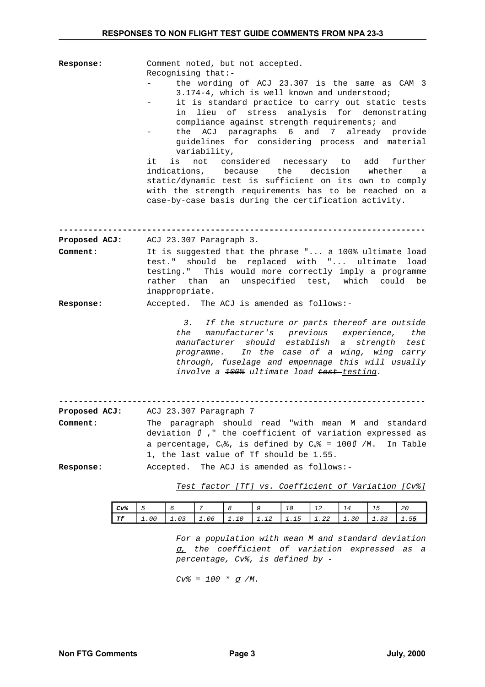**Response:** Comment noted, but not accepted. Recognising that: the wording of ACJ 23.307 is the same as CAM 3 3.174-4, which is well known and understood; it is standard practice to carry out static tests in lieu of stress analysis for demonstrating compliance against strength requirements; and the ACJ paragraphs 6 and 7 already provide guidelines for considering process and material variability, it is not considered necessary to add further indications, because the decision whether a static/dynamic test is sufficient on its own to comply with the strength requirements has to be reached on a case-by-case basis during the certification activity. **--------------------------------------------------------------------------- Proposed ACJ:** ACJ 23.307 Paragraph 3. **Comment:** It is suggested that the phrase "... a 100% ultimate load test." should be replaced with "... ultimate load testing." This would more correctly imply a programme rather than an unspecified test, which could be inappropriate. **Response:** Accepted. The ACJ is amended as follows:- *3. If the structure or parts thereof are outside the manufacturer's previous experience, the manufacturer should establish a strength test programme. In the case of a wing, wing carry through, fuselage and empennage this will usually involve a 100% ultimate load test testing.* **--------------------------------------------------------------------------- Proposed ACJ:** ACJ 23.307 Paragraph 7 **Comment:** The paragraph should read "with mean M and standard deviation σ ," the coefficient of variation expressed as a percentage,  $C_v\%$ , is defined by  $C_v\% = 1000$  /M. In Table 1, the last value of Tf should be 1.55. **Response:** Accepted. The ACJ is amended as follows:- *Test factor [Tf] vs. Coefficient of Variation [Cv%]*

| $cv\%$    | ັ    | 6    |      |      | ı<br>÷               | 10   | $\overline{a}$<br>ᅩᄼ | ◢<br>14 | 15              | 20        |
|-----------|------|------|------|------|----------------------|------|----------------------|---------|-----------------|-----------|
| T£<br>. . | 1.00 | 1.03 | 1.06 | 1.10 | $\sim$<br><b>1.1</b> | 1.15 | $\sim$<br>٠<br>1.ZZ  | 1.30    | $\Omega$<br>ن د | 1.55<br>- |

*For a population with mean M and standard deviation* <sup>σ</sup>*, the coefficient of variation expressed as a percentage, Cv%, is defined by -*

*Cv% = 100 \** σ */M.*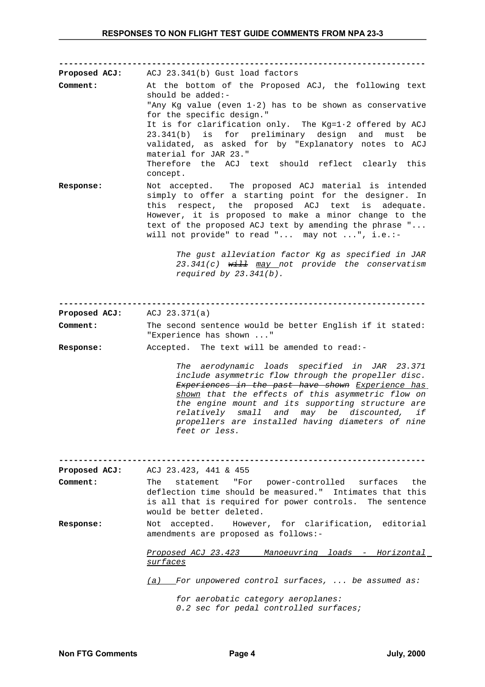| Proposed ACJ:        | ACJ 23.341(b) Gust load factors                                                                                                                                                                                                                                                                                                                                                         |  |  |  |
|----------------------|-----------------------------------------------------------------------------------------------------------------------------------------------------------------------------------------------------------------------------------------------------------------------------------------------------------------------------------------------------------------------------------------|--|--|--|
| Comment:             | At the bottom of the Proposed ACJ, the following text<br>should be added:-                                                                                                                                                                                                                                                                                                              |  |  |  |
|                      | "Any Kg value (even $1.2$ ) has to be shown as conservative                                                                                                                                                                                                                                                                                                                             |  |  |  |
|                      | for the specific design."                                                                                                                                                                                                                                                                                                                                                               |  |  |  |
|                      | It is for clarification only. The Kg=1.2 offered by ACJ                                                                                                                                                                                                                                                                                                                                 |  |  |  |
|                      | 23.341(b) is for preliminary design and<br>must<br>be<br>validated, as asked for by "Explanatory notes to ACJ                                                                                                                                                                                                                                                                           |  |  |  |
|                      | material for JAR 23."                                                                                                                                                                                                                                                                                                                                                                   |  |  |  |
|                      | Therefore the ACJ text should reflect clearly this<br>concept.                                                                                                                                                                                                                                                                                                                          |  |  |  |
| <b>Response:</b>     | Not accepted. The proposed ACJ material is intended                                                                                                                                                                                                                                                                                                                                     |  |  |  |
|                      | simply to offer a starting point for the designer. In                                                                                                                                                                                                                                                                                                                                   |  |  |  |
|                      | this respect, the proposed ACJ text is adequate.<br>However, it is proposed to make a minor change to the                                                                                                                                                                                                                                                                               |  |  |  |
|                      | text of the proposed ACJ text by amending the phrase "                                                                                                                                                                                                                                                                                                                                  |  |  |  |
|                      | will not provide" to read " may not ", i.e.:-                                                                                                                                                                                                                                                                                                                                           |  |  |  |
|                      | The gust alleviation factor Kg as specified in JAR                                                                                                                                                                                                                                                                                                                                      |  |  |  |
|                      | 23.341(c) will may not provide the conservatism                                                                                                                                                                                                                                                                                                                                         |  |  |  |
|                      | required by $23.341(b)$ .                                                                                                                                                                                                                                                                                                                                                               |  |  |  |
|                      |                                                                                                                                                                                                                                                                                                                                                                                         |  |  |  |
|                      |                                                                                                                                                                                                                                                                                                                                                                                         |  |  |  |
| Proposed ACJ:        | ACJ $23.371(a)$                                                                                                                                                                                                                                                                                                                                                                         |  |  |  |
| Comment:             | The second sentence would be better English if it stated:<br>"Experience has shown "                                                                                                                                                                                                                                                                                                    |  |  |  |
| Response:            | Accepted. The text will be amended to read:-                                                                                                                                                                                                                                                                                                                                            |  |  |  |
|                      | The aerodynamic loads specified in JAR 23.371<br>include asymmetric flow through the propeller disc.<br>Experiences in the past have shown Experience has<br>shown that the effects of this asymmetric flow on<br>the engine mount and its supporting structure are<br>relatively small and may be discounted, if<br>propellers are installed having diameters of nine<br>feet or less. |  |  |  |
|                      |                                                                                                                                                                                                                                                                                                                                                                                         |  |  |  |
| <b>Proposed ACJ:</b> | ACJ 23.423, 441 & 455                                                                                                                                                                                                                                                                                                                                                                   |  |  |  |
| Comment:             | power-controlled surfaces<br>statement<br>"For<br>the<br>The                                                                                                                                                                                                                                                                                                                            |  |  |  |
|                      | deflection time should be measured." Intimates that this<br>is all that is required for power controls. The sentence<br>would be better deleted.                                                                                                                                                                                                                                        |  |  |  |
| <b>Response:</b>     | Not accepted. However, for clarification, editorial<br>amendments are proposed as follows:-                                                                                                                                                                                                                                                                                             |  |  |  |
|                      | Proposed ACJ 23.423 Manoeuvring loads - Horizontal                                                                                                                                                                                                                                                                                                                                      |  |  |  |
|                      | surfaces                                                                                                                                                                                                                                                                                                                                                                                |  |  |  |
|                      | $(a)$ For unpowered control surfaces,  be assumed as:                                                                                                                                                                                                                                                                                                                                   |  |  |  |
|                      | for aerobatic category aeroplanes:<br>0.2 sec for pedal controlled surfaces;                                                                                                                                                                                                                                                                                                            |  |  |  |
|                      |                                                                                                                                                                                                                                                                                                                                                                                         |  |  |  |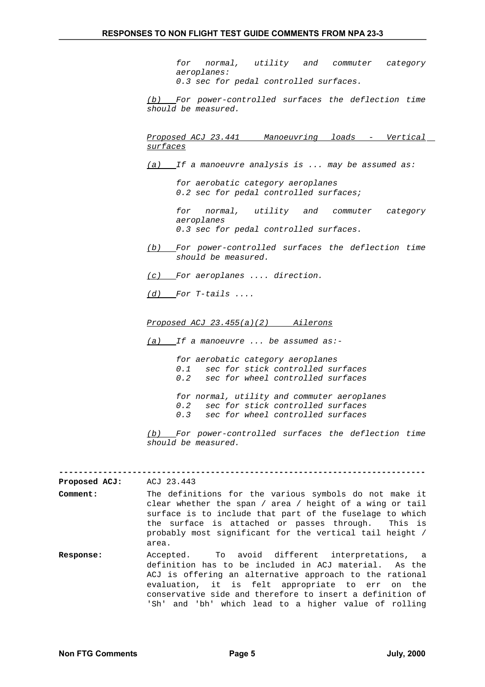*for normal, utility and commuter category aeroplanes: 0.3 sec for pedal controlled surfaces.*

 *(b) For power-controlled surfaces the deflection time should be measured.*

 *Proposed ACJ 23.441 Manoeuvring loads - Vertical surfaces*

 *(a) If a manoeuvre analysis is ... may be assumed as:*

*for aerobatic category aeroplanes 0.2 sec for pedal controlled surfaces;*

*for normal, utility and commuter category aeroplanes 0.3 sec for pedal controlled surfaces.*

- *(b) For power-controlled surfaces the deflection time should be measured.*
- *(c) For aeroplanes .... direction.*
- *(d) For T-tails ....*

 *Proposed ACJ 23.455(a)(2) Ailerons*

 *(a) If a manoeuvre ... be assumed as:-*

*for aerobatic category aeroplanes 0.1 sec for stick controlled surfaces 0.2 sec for wheel controlled surfaces*

*for normal, utility and commuter aeroplanes 0.2 sec for stick controlled surfaces 0.3 sec for wheel controlled surfaces*

 *(b) For power-controlled surfaces the deflection time should be measured.*

**---------------------------------------------------------------------------**

**Proposed ACJ:** ACJ 23.443

**Comment:** The definitions for the various symbols do not make it clear whether the span / area / height of a wing or tail surface is to include that part of the fuselage to which the surface is attached or passes through. This is probably most significant for the vertical tail height / area.

**Response:** Accepted. To avoid different interpretations, a definition has to be included in ACJ material. As the ACJ is offering an alternative approach to the rational evaluation, it is felt appropriate to err on the conservative side and therefore to insert a definition of 'Sh' and 'bh' which lead to a higher value of rolling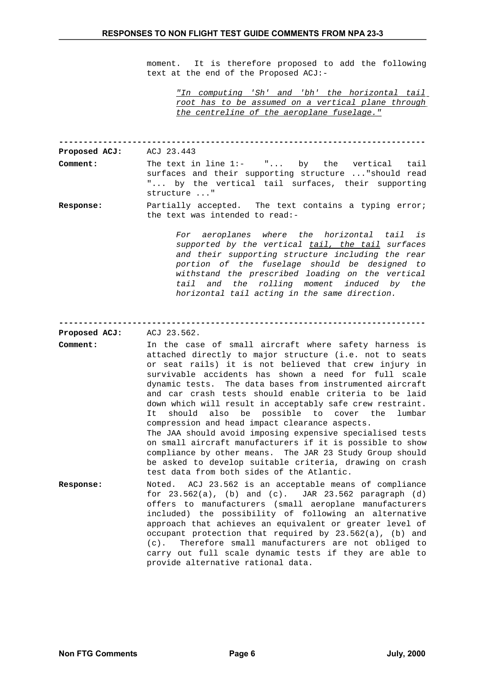moment. It is therefore proposed to add the following text at the end of the Proposed ACJ:-

*"In computing 'Sh' and 'bh' the horizontal tail root has to be assumed on a vertical plane through the centreline of the aeroplane fuselage."*

| <b>Proposed ACJ:</b> | ACJ 23.443                                                                                                                                                                                                                                                                                                                                                                                                                                                                                                                                                                                                                                                                                                                                                                                                                         |
|----------------------|------------------------------------------------------------------------------------------------------------------------------------------------------------------------------------------------------------------------------------------------------------------------------------------------------------------------------------------------------------------------------------------------------------------------------------------------------------------------------------------------------------------------------------------------------------------------------------------------------------------------------------------------------------------------------------------------------------------------------------------------------------------------------------------------------------------------------------|
| Comment:             | The text in line $1:-$ " by the vertical tail<br>surfaces and their supporting structure "should read<br>by the vertical tail surfaces, their supporting<br>"<br>structure "                                                                                                                                                                                                                                                                                                                                                                                                                                                                                                                                                                                                                                                       |
| Response:            | Partially accepted. The text contains a typing error;<br>the text was intended to read:-                                                                                                                                                                                                                                                                                                                                                                                                                                                                                                                                                                                                                                                                                                                                           |
|                      | aeroplanes where the horizontal tail is<br>For<br>supported by the vertical tail, the tail surfaces<br>and their supporting structure including the rear<br>portion of the fuselage should be designed to<br>withstand the prescribed loading on the vertical<br>tail and the rolling moment induced by<br>the<br>horizontal tail acting in the same direction.                                                                                                                                                                                                                                                                                                                                                                                                                                                                    |
| Proposed ACJ:        | ACJ 23.562.                                                                                                                                                                                                                                                                                                                                                                                                                                                                                                                                                                                                                                                                                                                                                                                                                        |
| Comment:             | In the case of small aircraft where safety harness is<br>attached directly to major structure (i.e. not to seats<br>or seat rails) it is not believed that crew injury in<br>survivable accidents has shown a need for full scale<br>dynamic tests. The data bases from instrumented aircraft<br>and car crash tests should enable criteria to be laid<br>down which will result in acceptably safe crew restraint.<br>also<br>be possible to cover the<br>lumbar<br>It<br>should<br>compression and head impact clearance aspects.<br>The JAA should avoid imposing expensive specialised tests<br>on small aircraft manufacturers if it is possible to show<br>compliance by other means. The JAR 23 Study Group should<br>be asked to develop suitable criteria, drawing on crash<br>test data from both sides of the Atlantic. |
| Response:            | ACJ 23.562 is an acceptable means of compliance<br>Noted.<br>for $23.562(a)$ , (b) and (c). JAR $23.562$ paragraph (d)<br>offers to manufacturers (small aeroplane manufacturers<br>included) the possibility of following an alternative<br>approach that achieves an equivalent or greater level of<br>occupant protection that required by 23.562(a), (b) and<br>Therefore small manufacturers are not obliged to<br>$(c)$ .<br>carry out full scale dynamic tests if they are able to<br>provide alternative rational data.                                                                                                                                                                                                                                                                                                    |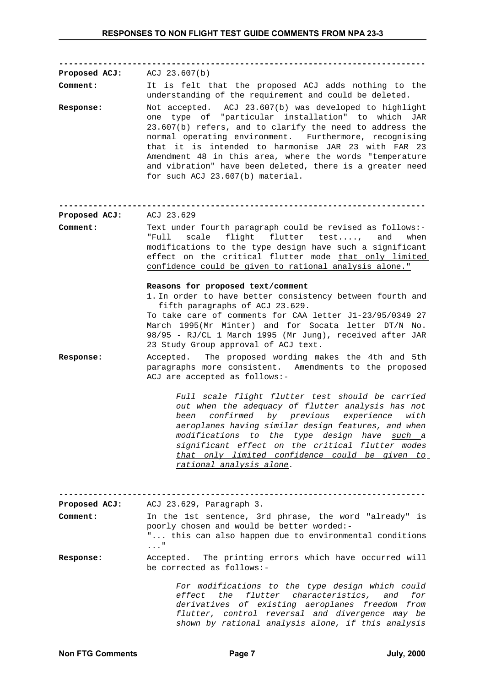**--------------------------------------------------------------------------- Proposed ACJ:** ACJ 23.607(b) **Comment:** It is felt that the proposed ACJ adds nothing to the understanding of the requirement and could be deleted. **Response:** Not accepted. ACJ 23.607(b) was developed to highlight one type of "particular installation" to which JAR 23.607(b) refers, and to clarify the need to address the normal operating environment. Furthermore, recognising that it is intended to harmonise JAR 23 with FAR 23 Amendment 48 in this area, where the words "temperature and vibration" have been deleted, there is a greater need for such ACJ 23.607(b) material. **--------------------------------------------------------------------------- Proposed ACJ:** ACJ 23.629 **Comment:** Text under fourth paragraph could be revised as follows:- "Full scale flight flutter test...., and when modifications to the type design have such a significant effect on the critical flutter mode that only limited confidence could be given to rational analysis alone." **Reasons for proposed text/comment** 1. In order to have better consistency between fourth and fifth paragraphs of ACJ 23.629. To take care of comments for CAA letter J1-23/95/0349 27 March 1995(Mr Minter) and for Socata letter DT/N No. 98/95 - RJ/CL 1 March 1995 (Mr Jung), received after JAR 23 Study Group approval of ACJ text. **Response:** Accepted. The proposed wording makes the 4th and 5th paragraphs more consistent. Amendments to the proposed ACJ are accepted as follows:- *Full scale flight flutter test should be carried out when the adequacy of flutter analysis has not been confirmed by previous experience with aeroplanes having similar design features, and when modifications to the type design have such a significant effect on the critical flutter modes that only limited confidence could be given to rational analysis alone.* **--------------------------------------------------------------------------- Proposed ACJ:** ACJ 23.629, Paragraph 3. **Comment:** In the 1st sentence, 3rd phrase, the word "already" is poorly chosen and would be better worded:- "... this can also happen due to environmental conditions ..." **Response:** Accepted. The printing errors which have occurred will be corrected as follows:- *For modifications to the type design which could effect the flutter characteristics, and for derivatives of existing aeroplanes freedom from flutter, control reversal and divergence may be shown by rational analysis alone, if this analysis*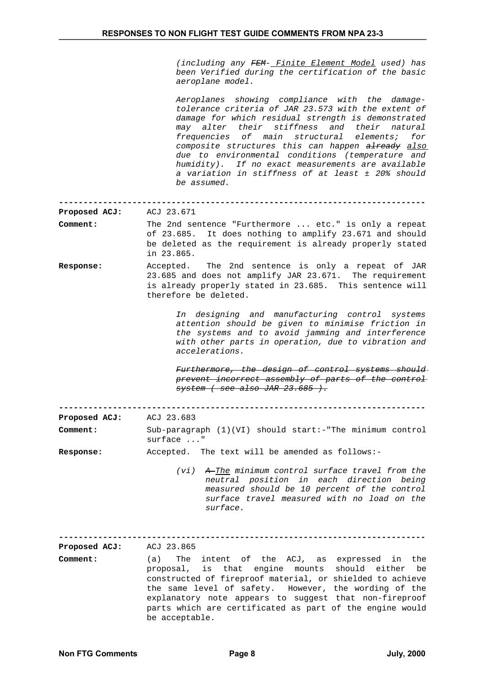*(including any FEM- Finite Element Model used) has been Verified during the certification of the basic aeroplane model.*

*Aeroplanes showing compliance with the damagetolerance criteria of JAR 23.573 with the extent of damage for which residual strength is demonstrated may alter their stiffness and their natural frequencies of main structural elements; for composite structures this can happen already also due to environmental conditions (temperature and humidity). If no exact measurements are available a variation in stiffness of at least ± 20% should be assumed.*

**---------------------------------------------------------------------------**

| <b>Proposed ACJ:</b> | ACJ 23.671                                              |
|----------------------|---------------------------------------------------------|
| <b>Comment:</b>      | The 2nd sentence "Furthermore  etc." is only a repeat   |
|                      | of 23.685. It does nothing to amplify 23.671 and should |

- d should be deleted as the requirement is already properly stated in 23.865.
- **Response:** Accepted. The 2nd sentence is only a repeat of JAR 23.685 and does not amplify JAR 23.671. The requirement is already properly stated in 23.685. This sentence will therefore be deleted.

*In designing and manufacturing control systems attention should be given to minimise friction in the systems and to avoid jamming and interference with other parts in operation, due to vibration and accelerations.*

*Furthermore, the design of control systems should prevent incorrect assembly of parts of the control system ( see also JAR 23.685 ).*

**---------------------------------------------------------------------------**

| <b>Proposed ACJ:</b> | ACJ 23.683                                                            |  |  |  |
|----------------------|-----------------------------------------------------------------------|--|--|--|
| <b>Comment:</b>      | Sub-paragraph (1)(VI) should start:-"The minimum control<br>surface " |  |  |  |
|                      |                                                                       |  |  |  |

- **Response:** Accepted. The text will be amended as follows:-
	- *(vi) A The minimum control surface travel from the neutral position in each direction being measured should be 10 percent of the control surface travel measured with no load on the surface.*

**---------------------------------------------------------------------------**

**Proposed ACJ:** ACJ 23.865

**Comment:** (a) The intent of the ACJ, as expressed in the proposal, is that engine mounts should either be constructed of fireproof material, or shielded to achieve the same level of safety. However, the wording of the explanatory note appears to suggest that non-fireproof parts which are certificated as part of the engine would be acceptable.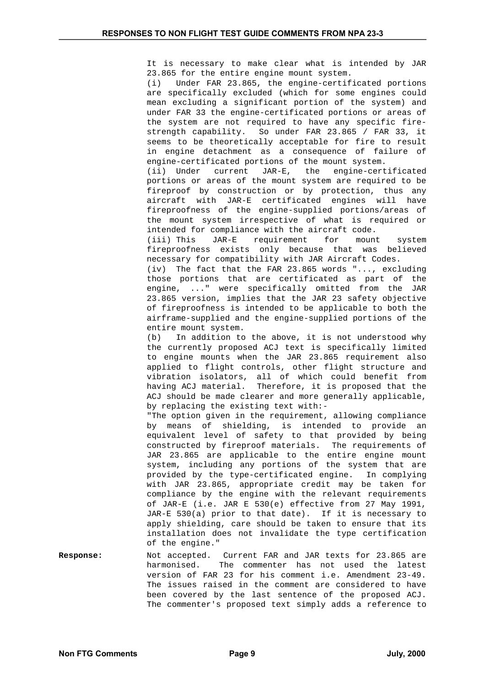It is necessary to make clear what is intended by JAR 23.865 for the entire engine mount system.

(i) Under FAR 23.865, the engine-certificated portions are specifically excluded (which for some engines could mean excluding a significant portion of the system) and under FAR 33 the engine-certificated portions or areas of the system are not required to have any specific firestrength capability. So under FAR 23.865 / FAR 33, it seems to be theoretically acceptable for fire to result in engine detachment as a consequence of failure of engine-certificated portions of the mount system.

(ii) Under current JAR-E, the engine-certificated portions or areas of the mount system are required to be fireproof by construction or by protection, thus any aircraft with JAR-E certificated engines will have fireproofness of the engine-supplied portions/areas of the mount system irrespective of what is required or intended for compliance with the aircraft code.

(iii) This JAR-E requirement for mount system fireproofness exists only because that was believed necessary for compatibility with JAR Aircraft Codes.

(iv) The fact that the FAR 23.865 words "..., excluding those portions that are certificated as part of the engine, ..." were specifically omitted from the JAR 23.865 version, implies that the JAR 23 safety objective of fireproofness is intended to be applicable to both the airframe-supplied and the engine-supplied portions of the entire mount system.

(b) In addition to the above, it is not understood why the currently proposed ACJ text is specifically limited to engine mounts when the JAR 23.865 requirement also applied to flight controls, other flight structure and vibration isolators, all of which could benefit from having ACJ material. Therefore, it is proposed that the ACJ should be made clearer and more generally applicable, by replacing the existing text with:-

"The option given in the requirement, allowing compliance by means of shielding, is intended to provide an equivalent level of safety to that provided by being constructed by fireproof materials. The requirements of JAR 23.865 are applicable to the entire engine mount system, including any portions of the system that are provided by the type-certificated engine. In complying with JAR 23.865, appropriate credit may be taken for compliance by the engine with the relevant requirements of JAR-E (i.e. JAR E 530(e) effective from 27 May 1991, JAR-E 530(a) prior to that date). If it is necessary to apply shielding, care should be taken to ensure that its installation does not invalidate the type certification of the engine."

**Response:** Not accepted. Current FAR and JAR texts for 23.865 are harmonised. The commenter has not used the latest version of FAR 23 for his comment i.e. Amendment 23-49. The issues raised in the comment are considered to have been covered by the last sentence of the proposed ACJ. The commenter's proposed text simply adds a reference to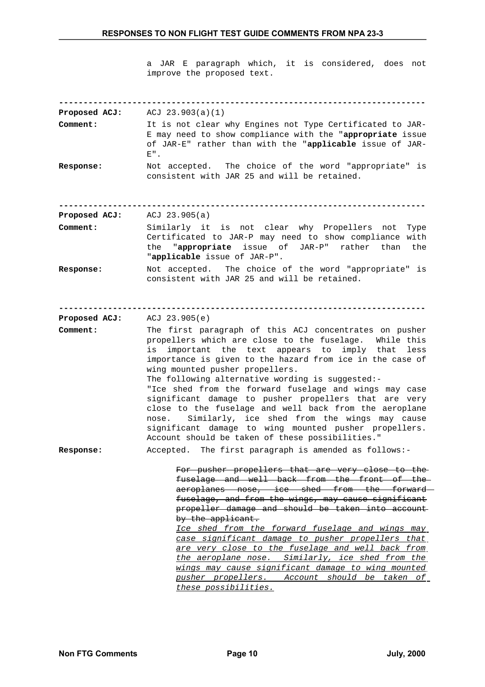a JAR E paragraph which, it is considered, does not improve the proposed text.

| <b>Proposed ACJ:</b> ACJ 23.903 $(a)(1)$ |                                                                                                                                                                                                                                                                                                                                                                                                                                                                                                                                                                                                                                                                                |
|------------------------------------------|--------------------------------------------------------------------------------------------------------------------------------------------------------------------------------------------------------------------------------------------------------------------------------------------------------------------------------------------------------------------------------------------------------------------------------------------------------------------------------------------------------------------------------------------------------------------------------------------------------------------------------------------------------------------------------|
| Comment:                                 | It is not clear why Engines not Type Certificated to JAR-<br>E may need to show compliance with the "appropriate issue<br>of JAR-E" rather than with the "applicable issue of JAR-<br>$E^{\prime\prime}$ .                                                                                                                                                                                                                                                                                                                                                                                                                                                                     |
| Response:                                | Not accepted. The choice of the word "appropriate" is<br>consistent with JAR 25 and will be retained.                                                                                                                                                                                                                                                                                                                                                                                                                                                                                                                                                                          |
| <b>Proposed ACJ:</b>                     | ACJ $23.905(a)$                                                                                                                                                                                                                                                                                                                                                                                                                                                                                                                                                                                                                                                                |
| Comment:                                 | Similarly it is not clear why Propellers not Type<br>Certificated to JAR-P may need to show compliance with<br>the "appropriate issue of JAR-P" rather than<br>the<br>"applicable issue of JAR-P".                                                                                                                                                                                                                                                                                                                                                                                                                                                                             |
| <b>Response:</b>                         | Not accepted. The choice of the word "appropriate" is<br>consistent with JAR 25 and will be retained.                                                                                                                                                                                                                                                                                                                                                                                                                                                                                                                                                                          |
| <b>Proposed ACJ:</b>                     | ACJ 23.905(e)                                                                                                                                                                                                                                                                                                                                                                                                                                                                                                                                                                                                                                                                  |
| Comment:                                 | The first paragraph of this ACJ concentrates on pusher<br>propellers which are close to the fuselage. While this<br>important the text appears to imply that less<br>is<br>importance is given to the hazard from ice in the case of<br>wing mounted pusher propellers.<br>The following alternative wording is suggested:-<br>"Ice shed from the forward fuselage and wings may case<br>significant damage to pusher propellers that are very<br>close to the fuselage and well back from the aeroplane<br>Similarly, ice shed from the wings may cause<br>nose.<br>significant damage to wing mounted pusher propellers.<br>Account should be taken of these possibilities." |
| Response:                                | Accepted. The first paragraph is amended as follows:-                                                                                                                                                                                                                                                                                                                                                                                                                                                                                                                                                                                                                          |
|                                          | For pusher propellers that are very close to the<br>fuselage and well back from the front of the<br>aeroplanes nose, ice shed from the forward-                                                                                                                                                                                                                                                                                                                                                                                                                                                                                                                                |
|                                          | fuselage, and from the wings, may cause significant<br>propeller damage and should be taken into account<br>by the applicant.                                                                                                                                                                                                                                                                                                                                                                                                                                                                                                                                                  |
|                                          | <u>Ice shed from the forward fuselage and wings may</u><br>case significant damage to pusher propellers that                                                                                                                                                                                                                                                                                                                                                                                                                                                                                                                                                                   |
|                                          | are very close to the fuselage and well back from.                                                                                                                                                                                                                                                                                                                                                                                                                                                                                                                                                                                                                             |
|                                          | <u>the aeroplane nose. Similarly, ice shed from the</u>                                                                                                                                                                                                                                                                                                                                                                                                                                                                                                                                                                                                                        |
|                                          | <u>wings may cause significant damage to wing mounted</u><br><u>pusher propellers. Account should be taken of</u>                                                                                                                                                                                                                                                                                                                                                                                                                                                                                                                                                              |
|                                          | these possibilities.                                                                                                                                                                                                                                                                                                                                                                                                                                                                                                                                                                                                                                                           |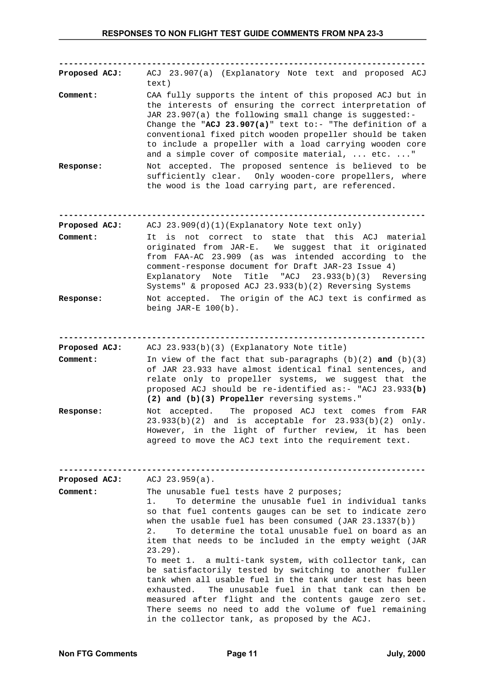| Proposed ACJ:         | ACJ 23.907(a) (Explanatory Note text and proposed ACJ<br>text)                                                                                                                                                                                                                                                                                                                                                                                                                                                                                                                                                                                                                                                                                                                             |
|-----------------------|--------------------------------------------------------------------------------------------------------------------------------------------------------------------------------------------------------------------------------------------------------------------------------------------------------------------------------------------------------------------------------------------------------------------------------------------------------------------------------------------------------------------------------------------------------------------------------------------------------------------------------------------------------------------------------------------------------------------------------------------------------------------------------------------|
| Comment:<br>Response: | CAA fully supports the intent of this proposed ACJ but in<br>the interests of ensuring the correct interpretation of<br>JAR 23.907(a) the following small change is suggested:-<br>Change the "ACJ 23.907(a)" text to:- "The definition of a<br>conventional fixed pitch wooden propeller should be taken<br>to include a propeller with a load carrying wooden core<br>and a simple cover of composite material, $\ldots$ etc. $\ldots$ .<br>Not accepted. The proposed sentence is believed to be                                                                                                                                                                                                                                                                                        |
|                       | sufficiently clear.  Only wooden-core propellers, where<br>the wood is the load carrying part, are referenced.                                                                                                                                                                                                                                                                                                                                                                                                                                                                                                                                                                                                                                                                             |
| <b>Proposed ACJ:</b>  | ACJ 23.909 $(d)(1)$ (Explanatory Note text only)                                                                                                                                                                                                                                                                                                                                                                                                                                                                                                                                                                                                                                                                                                                                           |
| Comment:              | is not correct to state that<br>this ACJ material<br>It<br>originated from JAR-E. We suggest that it originated<br>from FAA-AC 23.909 (as was intended according to the<br>comment-response document for Draft JAR-23 Issue 4)<br>Note Title<br>Explanatory<br>"ACJ 23.933(b)(3) Reversing<br>Systems" & proposed ACJ 23.933(b)(2) Reversing Systems                                                                                                                                                                                                                                                                                                                                                                                                                                       |
| <b>Response:</b>      | Not accepted. The origin of the ACJ text is confirmed as<br>being $JAR-E 100(b)$ .                                                                                                                                                                                                                                                                                                                                                                                                                                                                                                                                                                                                                                                                                                         |
| Proposed ACJ:         | ACJ 23.933(b)(3) (Explanatory Note title)                                                                                                                                                                                                                                                                                                                                                                                                                                                                                                                                                                                                                                                                                                                                                  |
| Comment:              | In view of the fact that sub-paragraphs $(b)(2)$ and $(b)(3)$<br>of JAR 23.933 have almost identical final sentences, and<br>relate only to propeller systems, we suggest that the<br>proposed ACJ should be re-identified as:- "ACJ 23.933(b)<br>(2) and (b)(3) Propeller reversing systems."                                                                                                                                                                                                                                                                                                                                                                                                                                                                                             |
| <b>Response:</b>      | Not accepted.<br>The proposed ACJ text comes from FAR<br>$23.933(b)(2)$ and is acceptable for $23.933(b)(2)$ only.<br>However, in the light of further review, it has been<br>agreed to move the ACJ text into the requirement text.                                                                                                                                                                                                                                                                                                                                                                                                                                                                                                                                                       |
| Proposed ACJ:         | ACJ $23.959(a)$ .                                                                                                                                                                                                                                                                                                                                                                                                                                                                                                                                                                                                                                                                                                                                                                          |
| Comment:              | The unusable fuel tests have 2 purposes;<br>To determine the unusable fuel in individual tanks<br>1.<br>so that fuel contents gauges can be set to indicate zero<br>when the usable fuel has been consumed (JAR $23.1337(b)$ )<br>To determine the total unusable fuel on board as an<br>2.<br>item that needs to be included in the empty weight (JAR<br>$23.29$ .<br>a multi-tank system, with collector tank, can<br>To meet 1.<br>be satisfactorily tested by switching to another fuller<br>tank when all usable fuel in the tank under test has been<br>exhausted. The unusable fuel in that tank can then be<br>measured after flight and the contents gauge zero set.<br>There seems no need to add the volume of fuel remaining<br>in the collector tank, as proposed by the ACJ. |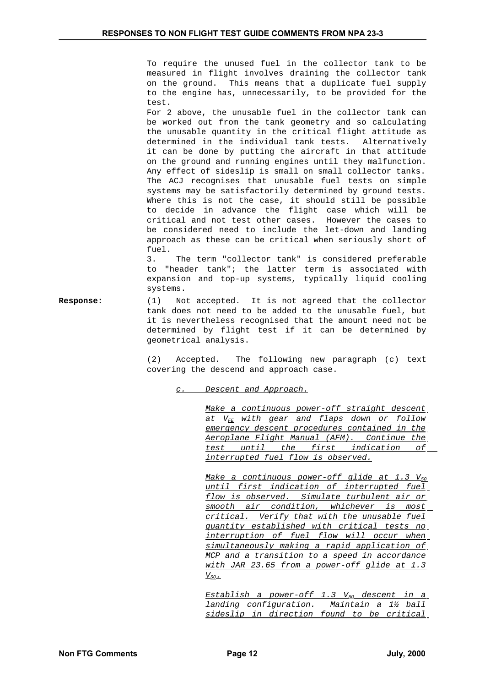To require the unused fuel in the collector tank to be measured in flight involves draining the collector tank on the ground. This means that a duplicate fuel supply to the engine has, unnecessarily, to be provided for the test.

For 2 above, the unusable fuel in the collector tank can be worked out from the tank geometry and so calculating the unusable quantity in the critical flight attitude as determined in the individual tank tests. Alternatively it can be done by putting the aircraft in that attitude on the ground and running engines until they malfunction. Any effect of sideslip is small on small collector tanks. The ACJ recognises that unusable fuel tests on simple systems may be satisfactorily determined by ground tests. Where this is not the case, it should still be possible to decide in advance the flight case which will be critical and not test other cases. However the cases to be considered need to include the let-down and landing approach as these can be critical when seriously short of fuel.

3. The term "collector tank" is considered preferable to "header tank"; the latter term is associated with expansion and top-up systems, typically liquid cooling systems.

**Response:** (1) Not accepted. It is not agreed that the collector tank does not need to be added to the unusable fuel, but it is nevertheless recognised that the amount need not be determined by flight test if it can be determined by geometrical analysis.

> (2) Accepted. The following new paragraph (c) text covering the descend and approach case.

 *c. Descent and Approach.*

*Make a continuous power-off straight descent at VFE with gear and flaps down or follow emergency descent procedures contained in the Aeroplane Flight Manual (AFM). Continue the test until the first indication of interrupted fuel flow is observed.*

*Make a continuous power-off glide at 1.3 VSO until first indication of interrupted fuel flow is observed. Simulate turbulent air or smooth air condition, whichever is most critical. Verify that with the unusable fuel quantity established with critical tests no interruption of fuel flow will occur when simultaneously making a rapid application of MCP and a transition to a speed in accordance with JAR 23.65 from a power-off glide at 1.3 VSO.*

*Establish a power-off 1.3 VSO descent in a landing configuration. Maintain a 1½ ball sideslip in direction found to be critical*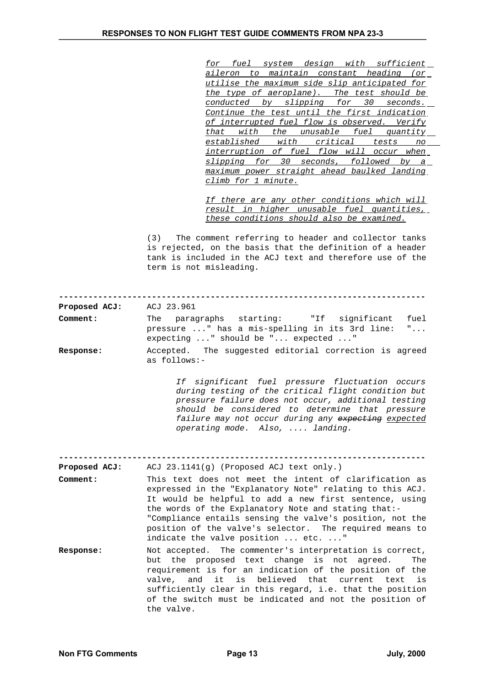*for fuel system design with sufficient aileron to maintain constant heading (or utilise the maximum side slip anticipated for the type of aeroplane). The test should be conducted by slipping for 30 seconds. Continue the test until the first indication of interrupted fuel flow is observed. Verify that with the unusable fuel quantity established with critical tests no interruption of fuel flow will occur when slipping for 30 seconds, followed by a maximum power straight ahead baulked landing climb for 1 minute.*

*If there are any other conditions which will result in higher unusable fuel quantities, these conditions should also be examined.*

(3) The comment referring to header and collector tanks is rejected, on the basis that the definition of a header tank is included in the ACJ text and therefore use of the term is not misleading.

**---------------------------------------------------------------------------**

**Proposed ACJ:** ACJ 23.961

**Comment:** The paragraphs starting: "If significant fuel pressure ..." has a mis-spelling in its 3rd line: "... expecting ..." should be "... expected ..."

**Response:** Accepted. The suggested editorial correction is agreed as follows:-

> *If significant fuel pressure fluctuation occurs during testing of the critical flight condition but pressure failure does not occur, additional testing should be considered to determine that pressure failure may not occur during any expecting expected operating mode. Also, .... landing.*

**---------------------------------------------------------------------------**

**Proposed ACJ:** ACJ 23.1141(g) (Proposed ACJ text only.)

**Comment:** This text does not meet the intent of clarification as expressed in the "Explanatory Note" relating to this ACJ. It would be helpful to add a new first sentence, using the words of the Explanatory Note and stating that:- "Compliance entails sensing the valve's position, not the position of the valve's selector. The required means to indicate the valve position ... etc. ..."

**Response:** Not accepted. The commenter's interpretation is correct, but the proposed text change is not agreed. The requirement is for an indication of the position of the valve, and it is believed that current text is sufficiently clear in this regard, i.e. that the position of the switch must be indicated and not the position of the valve.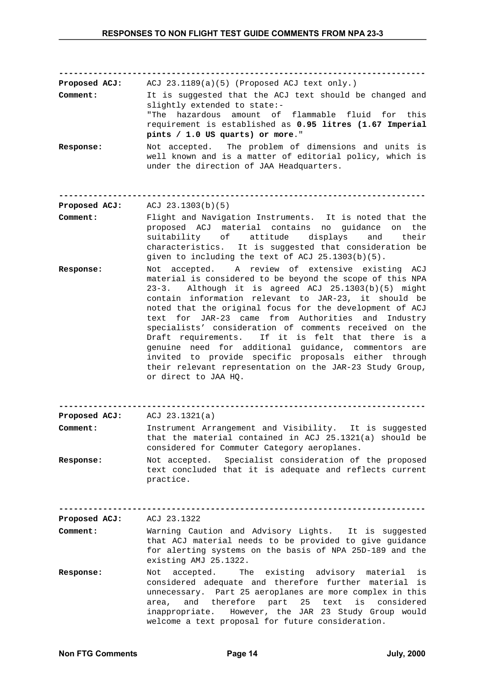| Proposed ACJ:<br>Comment: | ACJ 23.1189 $(a)(5)$ (Proposed ACJ text only.)<br>It is suggested that the ACJ text should be changed and<br>slightly extended to state:-<br>"The hazardous amount of flammable fluid for this                                                                                                                                                                                                                                                                                                                                                                                                                                                                                  |
|---------------------------|---------------------------------------------------------------------------------------------------------------------------------------------------------------------------------------------------------------------------------------------------------------------------------------------------------------------------------------------------------------------------------------------------------------------------------------------------------------------------------------------------------------------------------------------------------------------------------------------------------------------------------------------------------------------------------|
|                           | requirement is established as 0.95 litres (1.67 Imperial<br>pints $/$ 1.0 US quarts) or more."                                                                                                                                                                                                                                                                                                                                                                                                                                                                                                                                                                                  |
| Response:                 | Not accepted. The problem of dimensions and units is<br>well known and is a matter of editorial policy, which is<br>under the direction of JAA Headquarters.                                                                                                                                                                                                                                                                                                                                                                                                                                                                                                                    |
| Proposed ACJ:             | ACJ $23.1303(b)(5)$                                                                                                                                                                                                                                                                                                                                                                                                                                                                                                                                                                                                                                                             |
| Comment:                  | Flight and Navigation Instruments. It is noted that the<br>proposed ACJ material contains no guidance<br>on<br>the<br>suitability of<br>attitude displays<br>and<br>their<br>It is suggested that consideration be<br>characteristics.<br>given to including the text of ACJ $25.1303(b)(5)$ .                                                                                                                                                                                                                                                                                                                                                                                  |
| <b>Response:</b>          | accepted. A review of extensive existing ACJ<br>Not<br>material is considered to be beyond the scope of this NPA<br>Although it is agreed ACJ 25.1303(b)(5) might<br>$23 - 3$ .<br>contain information relevant to JAR-23, it should be<br>noted that the original focus for the development of ACJ<br>text for JAR-23 came from Authorities<br>and Industry<br>specialists' consideration of comments received on the<br>Draft requirements. If it is felt that there is a<br>genuine need for additional guidance, commentors are<br>invited to provide specific proposals either through<br>their relevant representation on the JAR-23 Study Group,<br>or direct to JAA HQ. |
| Proposed ACJ:             | ACJ $23.1321(a)$                                                                                                                                                                                                                                                                                                                                                                                                                                                                                                                                                                                                                                                                |
| Comment:                  | Instrument Arrangement and Visibility. It is suggested<br>that the material contained in ACJ 25.1321(a) should be<br>considered for Commuter Category aeroplanes.                                                                                                                                                                                                                                                                                                                                                                                                                                                                                                               |
| <b>Response:</b>          | Not accepted. Specialist consideration of the proposed<br>text concluded that it is adequate and reflects current<br>practice.                                                                                                                                                                                                                                                                                                                                                                                                                                                                                                                                                  |
|                           |                                                                                                                                                                                                                                                                                                                                                                                                                                                                                                                                                                                                                                                                                 |
| Proposed ACJ:             | ACJ 23.1322                                                                                                                                                                                                                                                                                                                                                                                                                                                                                                                                                                                                                                                                     |
| Comment:                  | Warning Caution and Advisory Lights. It is suggested<br>that ACJ material needs to be provided to give guidance<br>for alerting systems on the basis of NPA 25D-189 and the<br>existing AMJ 25.1322.                                                                                                                                                                                                                                                                                                                                                                                                                                                                            |
| Response:                 | The existing advisory material is<br>accepted.<br>Not<br>considered adequate and therefore further<br>material is<br>Part 25 aeroplanes are more complex in this<br>unnecessary.<br>therefore part 25 text<br>considered<br>and<br>is<br>area,<br>However, the JAR 23 Study Group would<br>inappropriate.<br>welcome a text proposal for future consideration.                                                                                                                                                                                                                                                                                                                  |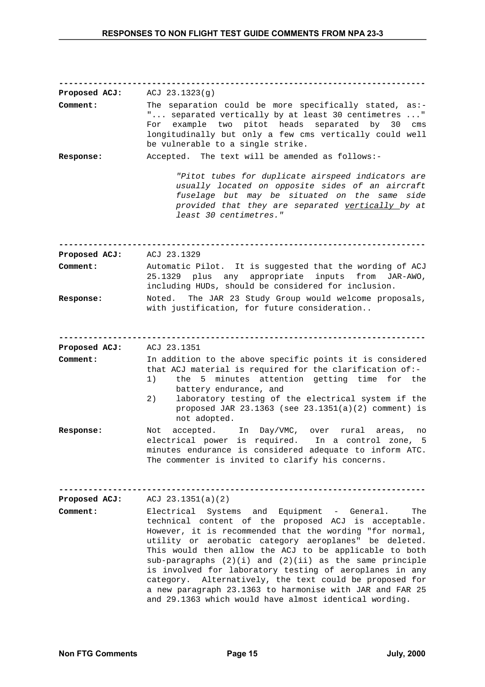| Proposed ACJ:    | ACJ 23.1323(g)                                                                                                                                                                                                                                                                                                                                                                                                                                                                                                                                                                                          |
|------------------|---------------------------------------------------------------------------------------------------------------------------------------------------------------------------------------------------------------------------------------------------------------------------------------------------------------------------------------------------------------------------------------------------------------------------------------------------------------------------------------------------------------------------------------------------------------------------------------------------------|
| Comment:         | The separation could be more specifically stated, as:-<br>" separated vertically by at least 30 centimetres "<br>pitot heads<br>example two<br>separated<br>by<br>30<br>For<br>$\mathsf{cm}\mathsf{s}$<br>longitudinally but only a few cms vertically could well<br>be vulnerable to a single strike.                                                                                                                                                                                                                                                                                                  |
| <b>Response:</b> | Accepted. The text will be amended as follows:-                                                                                                                                                                                                                                                                                                                                                                                                                                                                                                                                                         |
|                  | "Pitot tubes for duplicate airspeed indicators are<br>usually located on opposite sides of an aircraft<br>fuselage but may be situated on the same side<br>provided that they are separated vertically by at<br>least 30 centimetres."                                                                                                                                                                                                                                                                                                                                                                  |
| Proposed ACJ:    | ACJ 23.1329                                                                                                                                                                                                                                                                                                                                                                                                                                                                                                                                                                                             |
| Comment:         | Automatic Pilot. It is suggested that the wording of ACJ<br>plus any appropriate<br>inputs from<br>JAR-AWO,<br>25.1329<br>including HUDs, should be considered for inclusion.                                                                                                                                                                                                                                                                                                                                                                                                                           |
| <b>Response:</b> | Noted. The JAR 23 Study Group would welcome proposals,<br>with justification, for future consideration                                                                                                                                                                                                                                                                                                                                                                                                                                                                                                  |
| Proposed ACJ:    | ACJ 23.1351                                                                                                                                                                                                                                                                                                                                                                                                                                                                                                                                                                                             |
| Comment:         | In addition to the above specific points it is considered<br>that ACJ material is required for the clarification of:-<br>minutes attention getting time for the<br>1)<br>the 5<br>battery endurance, and<br>laboratory testing of the electrical system if the<br>2)<br>proposed JAR 23.1363 (see $23.1351(a)(2)$ comment) is<br>not adopted.                                                                                                                                                                                                                                                           |
| Response:        | accepted. In Day/VMC, over rural areas,<br>Not<br>no<br>electrical power is required. In a control zone, 5<br>minutes endurance is considered adequate to inform ATC.<br>The commenter is invited to clarify his concerns.                                                                                                                                                                                                                                                                                                                                                                              |
| Proposed ACJ:    | ACJ $23.1351(a)(2)$                                                                                                                                                                                                                                                                                                                                                                                                                                                                                                                                                                                     |
| Comment:         | Electrical Systems and Equipment - General.<br>The<br>technical content of the proposed ACJ is acceptable.<br>However, it is recommended that the wording "for normal,<br>utility or aerobatic category aeroplanes" be deleted.<br>This would then allow the ACJ to be applicable to both<br>sub-paragraphs $(2)(i)$ and $(2)(ii)$ as the same principle<br>is involved for laboratory testing of aeroplanes in any<br>Alternatively, the text could be proposed for<br>category.<br>a new paragraph 23.1363 to harmonise with JAR and FAR 25<br>and 29.1363 which would have almost identical wording. |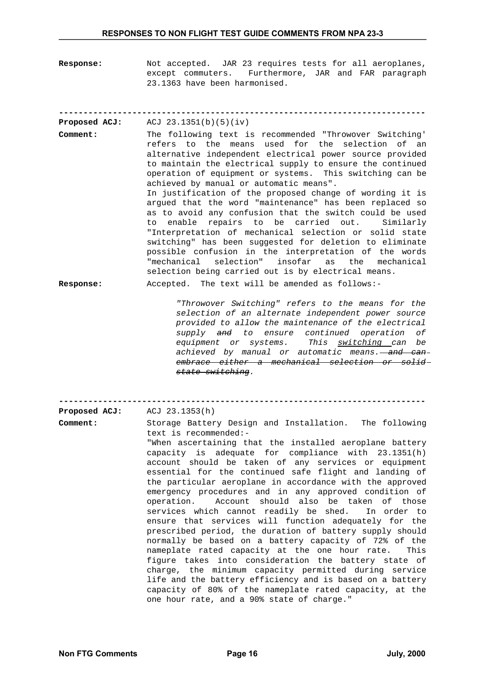**Response:** Not accepted. JAR 23 requires tests for all aeroplanes, except commuters. Furthermore, JAR and FAR paragraph 23.1363 have been harmonised.

| ACJ 23.1351(b) $(5)(iv)$                                                                                                                                                                                                                                                                                                                                                                                                                                                                                                                                                                                                                                                                                                                                                                                                                                                 |
|--------------------------------------------------------------------------------------------------------------------------------------------------------------------------------------------------------------------------------------------------------------------------------------------------------------------------------------------------------------------------------------------------------------------------------------------------------------------------------------------------------------------------------------------------------------------------------------------------------------------------------------------------------------------------------------------------------------------------------------------------------------------------------------------------------------------------------------------------------------------------|
| The following text is recommended "Throwover Switching'<br>refers to the means used for the selection of an<br>alternative independent electrical power source provided<br>to maintain the electrical supply to ensure the continued<br>operation of equipment or systems. This switching can be<br>achieved by manual or automatic means".<br>In justification of the proposed change of wording it is<br>argued that the word "maintenance" has been replaced so<br>as to avoid any confusion that the switch could be used<br>to enable repairs to be carried out. Similarly<br>"Interpretation of mechanical selection or solid state<br>switching" has been suggested for deletion to eliminate<br>possible confusion in the interpretation of the words<br>"mechanical selection" insofar as the mechanical<br>selection being carried out is by electrical means. |
| Accepted. The text will be amended as follows:-                                                                                                                                                                                                                                                                                                                                                                                                                                                                                                                                                                                                                                                                                                                                                                                                                          |
|                                                                                                                                                                                                                                                                                                                                                                                                                                                                                                                                                                                                                                                                                                                                                                                                                                                                          |

*"Throwover Switching" refers to the means for the selection of an alternate independent power source provided to allow the maintenance of the electrical supply and to ensure continued operation of equipment or systems. This switching can be achieved by manual or automatic means. and can embrace either a mechanical selection or solid state switching.*

**---------------------------------------------------------------------------**

**Proposed ACJ:** ACJ 23.1353(h)

**Comment:** Storage Battery Design and Installation. The following text is recommended:- "When ascertaining that the installed aeroplane battery capacity is adequate for compliance with 23.1351(h) account should be taken of any services or equipment essential for the continued safe flight and landing of the particular aeroplane in accordance with the approved emergency procedures and in any approved condition of operation. Account should also be taken of those services which cannot readily be shed. In order to ensure that services will function adequately for the prescribed period, the duration of battery supply should normally be based on a battery capacity of 72% of the nameplate rated capacity at the one hour rate. This figure takes into consideration the battery state of charge, the minimum capacity permitted during service life and the battery efficiency and is based on a battery capacity of 80% of the nameplate rated capacity, at the one hour rate, and a 90% state of charge."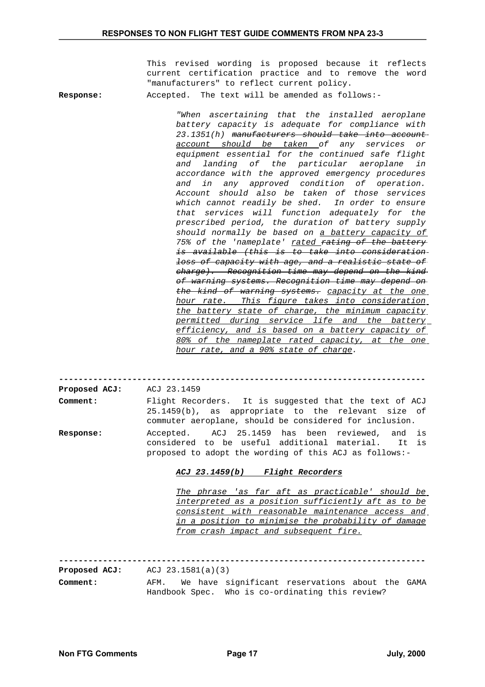This revised wording is proposed because it reflects current certification practice and to remove the word "manufacturers" to reflect current policy.

**Response:** Accepted. The text will be amended as follows:-

*"When ascertaining that the installed aeroplane battery capacity is adequate for compliance with 23.1351(h) manufacturers should take into account account should be taken of any services or equipment essential for the continued safe flight and landing of the particular aeroplane in accordance with the approved emergency procedures and in any approved condition of operation. Account should also be taken of those services which cannot readily be shed. In order to ensure that services will function adequately for the prescribed period, the duration of battery supply should normally be based on a battery capacity of 75% of the 'nameplate' rated rating of the battery is available (this is to take into consideration loss of capacity with age, and a realistic state of charge). Recognition time may depend on the kind of warning systems. Recognition time may depend on the kind of warning systems. capacity at the one hour rate. This figure takes into consideration the battery state of charge, the minimum capacity permitted during service life and the battery efficiency, and is based on a battery capacity of 80% of the nameplate rated capacity, at the one hour rate, and a 90% state of charge.*

**--------------------------------------------------------------------------- Proposed ACJ:** ACJ 23.1459 **Comment:** Flight Recorders. It is suggested that the text of ACJ 25.1459(b), as appropriate to the relevant size of commuter aeroplane, should be considered for inclusion. **Response:** Accepted. ACJ 25.1459 has been reviewed, and is considered to be useful additional material. It is proposed to adopt the wording of this ACJ as follows:-

## *ACJ 23.1459(b) Flight Recorders*

*The phrase 'as far aft as practicable' should be interpreted as a position sufficiently aft as to be consistent with reasonable maintenance access and in a position to minimise the probability of damage from crash impact and subsequent fire.*

**---------------------------------------------------------------------------**

**Proposed ACJ:** ACJ 23.1581(a)(3)

**Comment:** AFM. We have significant reservations about the GAMA Handbook Spec. Who is co-ordinating this review?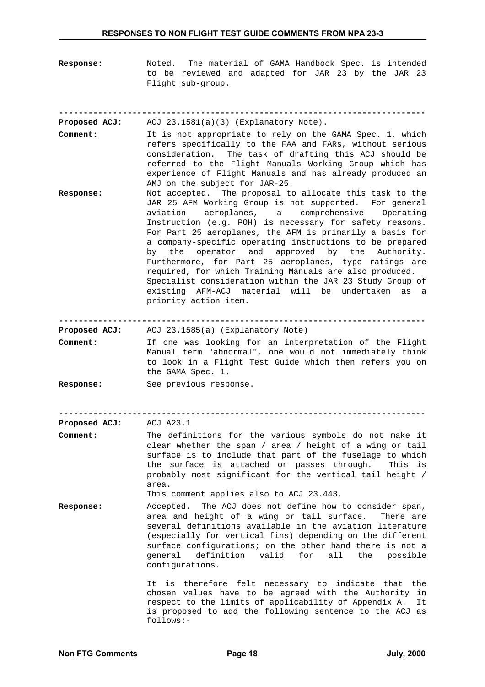**Response:** Noted. The material of GAMA Handbook Spec. is intended to be reviewed and adapted for JAR 23 by the JAR 23 Flight sub-group.

**--------------------------------------------------------------------------- Proposed ACJ:** ACJ 23.1581(a)(3) (Explanatory Note). **Comment:** It is not appropriate to rely on the GAMA Spec. 1, which refers specifically to the FAA and FARs, without serious consideration. The task of drafting this ACJ should be referred to the Flight Manuals Working Group which has experience of Flight Manuals and has already produced an AMJ on the subject for JAR-25. **Response:** Not accepted. The proposal to allocate this task to the JAR 25 AFM Working Group is not supported. For general aviation aeroplanes, a comprehensive Operating Instruction (e.g. POH) is necessary for safety reasons. For Part 25 aeroplanes, the AFM is primarily a basis for a company-specific operating instructions to be prepared by the operator and approved by the Authority. Furthermore, for Part 25 aeroplanes, type ratings are required, for which Training Manuals are also produced. Specialist consideration within the JAR 23 Study Group of existing AFM-ACJ material will be undertaken as a priority action item. **--------------------------------------------------------------------------- Proposed ACJ:** ACJ 23.1585(a) (Explanatory Note) **Comment:** If one was looking for an interpretation of the Flight Manual term "abnormal", one would not immediately think to look in a Flight Test Guide which then refers you on the GAMA Spec. 1. **Response:** See previous response.

**---------------------------------------------------------------------------**

**Proposed ACJ:** ACJ A23.1

**Comment:** The definitions for the various symbols do not make it clear whether the span / area / height of a wing or tail surface is to include that part of the fuselage to which the surface is attached or passes through. This is probably most significant for the vertical tail height / area.

This comment applies also to ACJ 23.443.

**Response:** Accepted. The ACJ does not define how to consider span, area and height of a wing or tail surface. There are several definitions available in the aviation literature (especially for vertical fins) depending on the different surface configurations; on the other hand there is not a general definition valid for all the possible configurations.

> It is therefore felt necessary to indicate that the chosen values have to be agreed with the Authority in respect to the limits of applicability of Appendix A. It is proposed to add the following sentence to the ACJ as follows:-